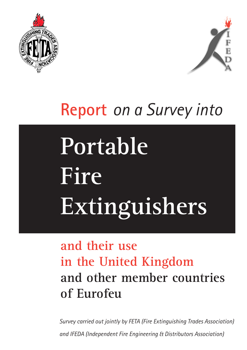



# **Report** *on a Survey into*

# **Portable Fire Extinguishers**

## **and their use in the United Kingdom and other member countries of Eurofeu**

*Survey carried out jointly by FETA (Fire Extinguishing Trades Association) and IFEDA (Independent Fire Engineering & Distributors Association)*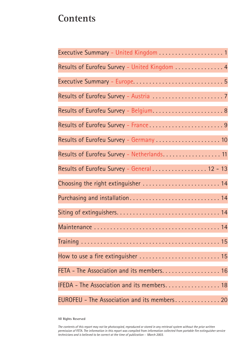## **Contents**

| Executive Summary - United Kingdom 1          |
|-----------------------------------------------|
| Results of Eurofeu Survey - United Kingdom  4 |
|                                               |
|                                               |
|                                               |
| Results of Eurofeu Survey - France9           |
| Results of Eurofeu Survey - Germany  10       |
| Results of Eurofeu Survey - Netherlands 11    |
| Results of Eurofeu Survey - General 12 - 13   |
| Choosing the right extinguisher  14           |
| Purchasing and installation 14                |
|                                               |
|                                               |
|                                               |
|                                               |
| FETA - The Association and its members. 16    |
| IFEDA - The Association and its members 18    |
| EUROFEU - The Association and its members 20  |

**All Rights Reserved**

*The contents of this report may not be photocopied, reproduced or stored in any retrieval system without the prior written permission of FETA. The information in this report was compiled from information collected from portable fire extinguisher service technicians and is believed to be correct at the time of publication - March 2003.*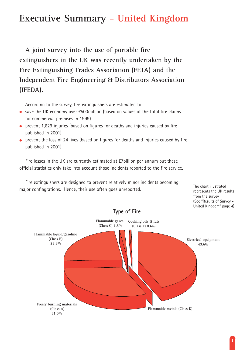## **Executive Summary - United Kingdom**

**A joint survey into the use of portable fire extinguishers in the UK was recently undertaken by the Fire Extinguishing Trades Association (FETA) and the Independent Fire Engineering & Distributors Association (IFEDA).**

According to the survey, fire extinguishers are estimated to:

- save the UK economy over £500million (based on values of the total fire claims for commercial premises in 1999)
- prevent 1,629 injuries (based on figures for deaths and injuries caused by fire published in 2001)
- prevent the loss of 24 lives (based on figures for deaths and injuries caused by fire published in 2001).

Fire losses in the UK are currently estimated at £7billion per annum but these official statistics only take into account those incidents reported to the fire service.

Fire extinguishers are designed to prevent relatively minor incidents becoming major conflagrations. Hence, their use often goes unreported.

represents the UK results from the survey (See "Results of Survey - United Kingdom" page 4)

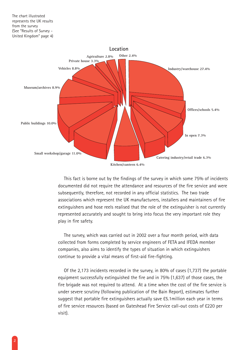

This fact is borne out by the findings of the survey in which some 75% of incidents documented did not require the attendance and resources of the fire service and were subsequently, therefore, not recorded in any official statistics. The two trade associations which represent the UK manufacturers, installers and maintainers of fire extinguishers and hose reels realised that the role of the extinguisher is not currently represented accurately and sought to bring into focus the very important role they play in fire safety.

The survey, which was carried out in 2002 over a four month period, with data collected from forms completed by service engineers of FETA and IFEDA member companies, also aims to identify the types of situation in which extinguishers continue to provide a vital means of first-aid fire-fighting.

Of the 2,173 incidents recorded in the survey, in 80% of cases (1,737) the portable equipment successfully extinguished the fire and in 75% (1,637) of those cases, the fire brigade was not required to attend. At a time when the cost of the fire service is under severe scrutiny (following publication of the Bain Report), estimates further suggest that portable fire extinguishers actually save £5.1million each year in terms of fire service resources (based on Gateshead Fire Service call-out costs of £220 per visit).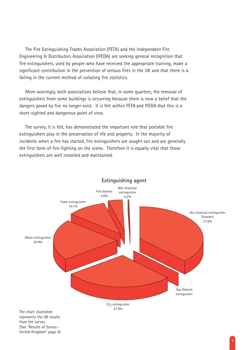The Fire Extinguishing Trades Association (FETA) and the Independent Fire Engineering & Distributors Association (IFEDA) are seeking general recognition that fire extinguishers, used by people who have received the appropriate training, make a significant contribution in the prevention of serious fires in the UK and that there is a failing in the current method of collating fire statistics.

More worringly, both associations believe that, in some quarters, the removal of extinguishers from some buildings is occurring because there is now a belief that the dangers posed by fire no longer exist. It is felt within FETA and IFEDA that this is a short-sighted and dangerous point of view.

The survey, it is felt, has demonstrated the important role that portable fire extinguishers play in the preservation of life and property. In the majority of incidents when a fire has started, fire extinguishers are sought out and are generally the first form of fire-fighting on the scene. Therefore it is equally vital that those extinguishers are well installed and maintained.



United Kingdom" page 4)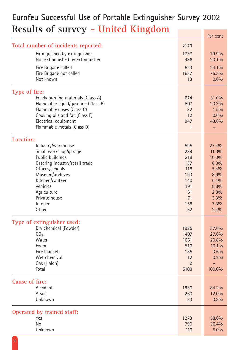## **Eurofeu Successful Use of Portable Extinguisher Survey 2002 Results of survey - United Kingdom**

|                                     |                | <b>LEI CEIIL</b> |
|-------------------------------------|----------------|------------------|
| Total number of incidents reported: | 2173           |                  |
| Extinguished by extinguisher        | 1737           | 79.9%            |
| Not extinguished by extinguisher    | 436            | 20.1%            |
| Fire Brigade called                 | 523            | 24.1%            |
| Fire Brigade not called             | 1637           | 75.3%            |
| Not known                           | 13             | 0.6%             |
| Type of fire:                       |                |                  |
| Freely burning materials (Class A)  | 674            | 31.0%            |
| Flammable liquid/gasoline (Class B) | 507            | 23.3%            |
| Flammable gases (Class C)           | 32             | 1.5%             |
| Cooking oils and fat (Class F)      | 12             | 0.6%             |
| Electrical equipment                | 947            | 43.6%            |
| Flammable metals (Class D)          | $\mathbf{1}$   | ۳                |
| Location:                           |                |                  |
| Industry/warehouse                  | 595            | 27.4%            |
| Small workshop/garage               | 239            | 11.0%            |
| Public buildings                    | 218            | 10.0%            |
| Catering industry/retail trade      | 137            | 6.3%             |
| Offices/schools                     | 118            | 5.4%             |
| Museum/archives                     | 193            | 8.9%             |
| Kitchen/canteen                     | 140            | 6.4%             |
| Vehicles                            | 191            | 8.8%             |
| Agriculture                         | 61             | 2.8%             |
| Private house                       | 71             | 3.3%             |
| In open<br>Other                    | 158            | 7.3%             |
|                                     | 52             | 2.4%             |
| Type of extinguisher used:          |                |                  |
| Dry chemical (Powder)               | 1925           | 37.6%            |
| CO <sub>2</sub>                     | 1407           | 27.6%            |
| Water                               | 1061           | 20.8%            |
| Foam                                | 516            | 10.1%            |
| Fire blanket                        | 185            | 3.6%             |
| Wet chemical                        | 12             | 0.2%             |
| Gas (Halon)                         | $\overline{2}$ |                  |
| Total                               | 5108           | 100.0%           |
| Cause of fire:                      |                |                  |
| Accident                            | 1830           | 84.2%            |
| Arson                               | 260            | 12.0%            |
| Unknown                             | 83             | 3.8%             |
| Operated by trained staff:          |                |                  |
| Yes                                 | 1273           | 58.6%            |
| No                                  | 790            | 36.4%            |
| Unknown                             | 110            | 5.0%             |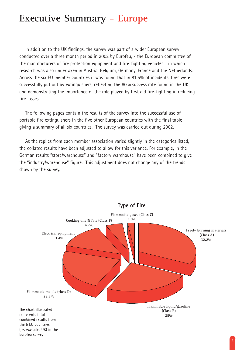### **Executive Summary - Europe**

In addition to the UK findings, the survey was part of a wider European survey conducted over a three month period in 2002 by Eurofeu, - the European committee of the manufacturers of fire protection equipment and fire-fighting vehicles - in which research was also undertaken in Austria, Belgium, Germany, France and the Netherlands. Across the six EU member countries it was found that in 81.5% of incidents, fires were successfully put out by extinguishers, reflecting the 80% success rate found in the UK and demonstrating the importance of the role played by first aid fire-fighting in reducing fire losses.

The following pages contain the results of the survey into the successful use of portable fire extinguishers in the five other European countries with the final table giving a summary of all six countries. The survey was carried out during 2002.

As the replies from each member association varied slightly in the categories listed, the collated results have been adjusted to allow for this variance. For example, in the German results "store/warehouse" and "factory warehouse" have been combined to give the "industry/warehouse" figure. This adjustment does not change any of the trends shown by the survey.

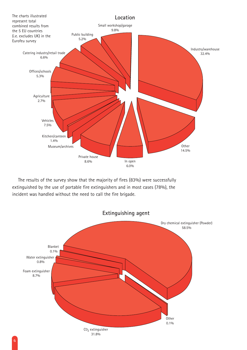

The results of the survey show that the majority of fires (83%) were successfully extinguished by the use of portable fire extinguishers and in most cases (78%), the incident was handled without the need to call the fire brigade.

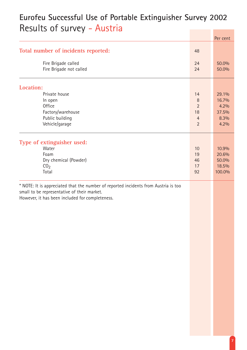## **Eurofeu Successful Use of Portable Extinguisher Survey 2002** Results of survey - Austria

|                                                                                                                                                                                       |                | Per cent       |
|---------------------------------------------------------------------------------------------------------------------------------------------------------------------------------------|----------------|----------------|
| Total number of incidents reported:                                                                                                                                                   |                |                |
| Fire Brigade called<br>Fire Brigade not called                                                                                                                                        | 24<br>24       | 50.0%<br>50.0% |
| Location:                                                                                                                                                                             |                |                |
| Private house                                                                                                                                                                         | 14             | 29.1%          |
| In open                                                                                                                                                                               | 8              | 16.7%          |
| <b>Office</b>                                                                                                                                                                         | $\overline{2}$ | 4.2%           |
| Factory/warehouse                                                                                                                                                                     | 18             | 37.5%          |
| Public building                                                                                                                                                                       | $\overline{4}$ | 8.3%           |
| Vehicle/garage                                                                                                                                                                        | $\overline{2}$ | 4.2%           |
| Type of extinguisher used:                                                                                                                                                            |                |                |
| Water                                                                                                                                                                                 | 10             | 10.9%          |
| Foam                                                                                                                                                                                  | 19             | 20.6%          |
| Dry chemical (Powder)                                                                                                                                                                 | 46             | 50.0%          |
| CO <sub>2</sub>                                                                                                                                                                       | 17             | 18.5%          |
| Total                                                                                                                                                                                 | 92             | 100.0%         |
| * NOTE: It is appreciated that the number of reported incidents from Austria is too<br>small to be representative of their market.<br>However, it has been included for completeness. |                |                |
|                                                                                                                                                                                       |                |                |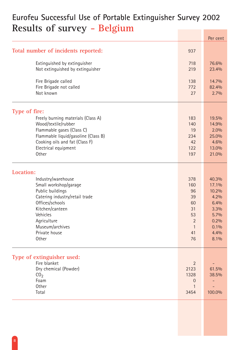## **Eurofeu Successful Use of Portable Extinguisher Survey 2002 Results of survey - Belgium**

|                                                                  |                | Per cent |
|------------------------------------------------------------------|----------------|----------|
| Total number of incidents reported:                              | 937            |          |
|                                                                  | 718            | 76.6%    |
| Extinguished by extinguisher<br>Not extinguished by extinguisher | 219            | 23.4%    |
|                                                                  |                |          |
| Fire Brigade called                                              | 138            | 14.7%    |
| Fire Brigade not called                                          | 772            | 82.4%    |
| Not known                                                        | 27             | 2.7%     |
|                                                                  |                |          |
| Type of fire:                                                    |                |          |
| Freely burning materials (Class A)                               | 183            | 19.5%    |
| Wood/textile/rubber                                              | 140            | 14.9%    |
| Flammable gases (Class C)                                        | 19             | 2.0%     |
| Flammable liquid/gasoline (Class B)                              | 234            | 25.0%    |
| Cooking oils and fat (Class F)                                   | 42             | 4.6%     |
| Electrical equipment                                             | 122            | 13.0%    |
| Other                                                            | 197            | 21.0%    |
| Location:                                                        |                |          |
| Industry/warehouse                                               | 378            | 40.3%    |
| Small workshop/garage                                            | 160            | 17.1%    |
| Public buildings                                                 | 96             | 10.2%    |
| Catering industry/retail trade                                   | 39             | 4.2%     |
| Offices/schools                                                  | 60             | 6.4%     |
| Kitchen/canteen                                                  | 31             | 3.3%     |
| Vehicles                                                         | 53             | 5.7%     |
|                                                                  |                |          |
| Agriculture                                                      | $\sqrt{2}$     | 0.2%     |
| Museum/archives                                                  | 1              | 0.1%     |
| Private house                                                    | 41             | 4.4%     |
| Other                                                            | 76             | 8.1%     |
| Type of extinguisher used:                                       |                |          |
| Fire blanket                                                     | $\overline{2}$ |          |
| Dry chemical (Powder)                                            | 2123           | 61.5%    |
| CO <sub>2</sub>                                                  | 1328           | 38.5%    |
| Foam                                                             | $\overline{0}$ |          |
| Other                                                            |                |          |
| Total                                                            | 3454           | 100.0%   |
|                                                                  |                |          |
|                                                                  |                |          |
|                                                                  |                |          |
|                                                                  |                |          |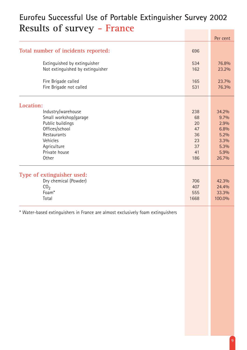## **Eurofeu Successful Use of Portable Extinguisher Survey 2002 Results of survey - France**

|                                                                                                                                                       |                                                      | Per cent                                                               |
|-------------------------------------------------------------------------------------------------------------------------------------------------------|------------------------------------------------------|------------------------------------------------------------------------|
| Total number of incidents reported:                                                                                                                   | 696                                                  |                                                                        |
| Extinguished by extinguisher<br>Not extinguished by extinguisher                                                                                      | 534<br>162                                           | 76.8%<br>23.2%                                                         |
| Fire Brigade called<br>Fire Brigade not called                                                                                                        | 165<br>531                                           | 23.7%<br>76.3%                                                         |
| Location:                                                                                                                                             |                                                      |                                                                        |
| Industry/warehouse<br>Small workshop/garage<br>Public buildings<br>Offices/school<br>Restaurants<br>Vehicles<br>Agriculture<br>Private house<br>Other | 238<br>68<br>20<br>47<br>36<br>23<br>37<br>41<br>186 | 34.2%<br>9.7%<br>2.9%<br>6.8%<br>5.2%<br>3.3%<br>5.3%<br>5.9%<br>26.7% |
| Type of extinguisher used:<br>Dry chemical (Powder)<br>CO <sub>2</sub><br>Foam*<br>Total                                                              | 706<br>407<br>555<br>1668                            | 42.3%<br>24.4%<br>33.3%<br>100.0%                                      |
|                                                                                                                                                       |                                                      |                                                                        |

\* Water-based extinguishers in France are almost exclusively foam extinguishers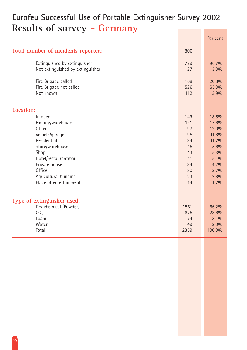## **Eurofeu Successful Use of Portable Extinguisher Survey 2002 Results of survey - Germany**

|                                     |      | Per cent |
|-------------------------------------|------|----------|
| Total number of incidents reported: | 806  |          |
| Extinguished by extinguisher        | 779  | 96.7%    |
| Not extinguished by extinguisher    | 27   | 3.3%     |
| Fire Brigade called                 | 168  | 20.8%    |
| Fire Brigade not called             | 526  | 65.3%    |
| Not known                           | 112  | 13.9%    |
| Location:                           |      |          |
| In open                             | 149  | 18.5%    |
| Factory/warehouse                   | 141  | 17.6%    |
| Other                               | 97   | 12.0%    |
| Vehicle/garage                      | 95   | 11.8%    |
| Residential                         | 94   | 11.7%    |
| Store/warehouse                     | 45   | 5.6%     |
| Shop                                | 43   | 5.3%     |
| Hotel/restaurant/bar                | 41   | 5.1%     |
| Private house                       | 34   | 4.2%     |
| <b>Office</b>                       | 30   | 3.7%     |
| Agricultural building               | 23   | 2.8%     |
| Place of entertainment              | 14   | 1.7%     |
| Type of extinguisher used:          |      |          |
| Dry chemical (Powder)               | 1561 | 66.2%    |
| CO <sub>2</sub>                     | 675  | 28.6%    |
| Foam                                | 74   | 3.1%     |
| Water                               | 49   | 2.0%     |
| Total                               | 2359 | 100.0%   |
|                                     |      |          |
|                                     |      |          |
|                                     |      |          |
|                                     |      |          |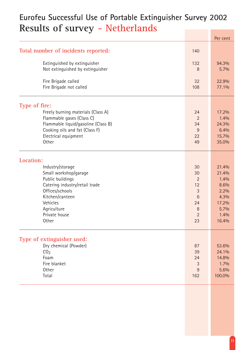## **Eurofeu Successful Use of Portable Extinguisher Survey 2002 Results of survey - Netherlands**

|                                     |                 | Per cent |
|-------------------------------------|-----------------|----------|
| Total number of incidents reported: | 140             |          |
| Extinguished by extinguisher        | 132             | 94.3%    |
| Not extinguished by extinguisher    | 8               | 5.7%     |
| Fire Brigade called                 | 32              | 22.9%    |
| Fire Brigade not called             | 108             | 77.1%    |
| Type of fire:                       |                 |          |
| Freely burning materials (Class A)  | 24              | 17.2%    |
| Flammable gases (Class C)           | $\overline{2}$  | 1.4%     |
| Flammable liquid/gasoline (Class B) | 34              | 24.3%    |
| Cooking oils and fat (Class F)      | 9               | 6.4%     |
| Electrical equipment                | 22              | 15.7%    |
| Other                               | 49              | 35.0%    |
| Location:                           |                 |          |
| Industry/storage                    | 30              | 21.4%    |
| Small workshop/garage               | 30              | 21.4%    |
| Public buildings                    | $\overline{2}$  | 1.4%     |
| Catering industry/retail trade      | 12              | 8.6%     |
| Offices/schools                     | 3               | 2.2%     |
| Kitchen/canteen                     | $6\phantom{1}6$ | 4.3%     |
| Vehicles                            | 24              | 17.2%    |
| Agriculture                         | 8               | 5.7%     |
| Private house                       | $\overline{2}$  | 1.4%     |
| Other                               | 23              | 16.4%    |
| Type of extinguisher used:          |                 |          |
| Dry chemical (Powder)               | 87              | 53.6%    |
| CO <sub>2</sub>                     | 39              | 24.1%    |
| Foam                                | 24              | 14.8%    |
| Fire blanket                        | 3               | 1.7%     |
| Other                               | 9               | 5.6%     |
| Total                               | 162             | 100.0%   |
|                                     |                 |          |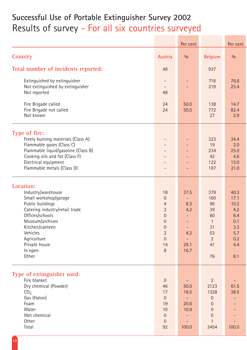## **Successful Use of Portable Extinguisher Survey 2002** Results of survey - For all six countries surveyed

|                                                                                                                                                                                                                                         |                                                                                                                                                              | Per cent                                                                    |                                                                                          | Per cent                                                                     |
|-----------------------------------------------------------------------------------------------------------------------------------------------------------------------------------------------------------------------------------------|--------------------------------------------------------------------------------------------------------------------------------------------------------------|-----------------------------------------------------------------------------|------------------------------------------------------------------------------------------|------------------------------------------------------------------------------|
| <b>Country</b>                                                                                                                                                                                                                          | Austria                                                                                                                                                      | 0/0                                                                         | <b>Belgium</b>                                                                           | 0/0                                                                          |
| Total number of incidents reported:                                                                                                                                                                                                     | 48                                                                                                                                                           |                                                                             | 937                                                                                      |                                                                              |
| Extinguished by extinguisher<br>Not extinguished by extinguisher<br>Not reported                                                                                                                                                        | 48                                                                                                                                                           |                                                                             | 718<br>219                                                                               | 76.6<br>23.4                                                                 |
| Fire Brigade called<br>Fire Brigade not called<br>Not known                                                                                                                                                                             | 24<br>24                                                                                                                                                     | 50.0<br>50.0                                                                | 138<br>772<br>27                                                                         | 14.7<br>82.4<br>2.9                                                          |
| Type of fire:<br>Freely burning materials (Class A)<br>Flammable gases (Class C)<br>Flammable liquid/gasoline (Class B)<br>Cooking oils and fat (Class F)<br>Electrical equipment<br>Flammable metals (Class D)                         |                                                                                                                                                              |                                                                             | 323<br>19<br>234<br>42<br>122<br>197                                                     | 34.4<br>2.0<br>25.0<br>4.6<br>13.0<br>21.0                                   |
| Location:<br>Industry/warehouse<br>Small workshop/garage<br>Public buildings<br>Catering industry/retail trade<br>Offices/schools<br>Museum/archives<br>Kitchen/canteen<br>Vehicles<br>Agriculture<br>Private house<br>In open<br>Other | 18<br>$\overline{0}$<br>$\overline{4}$<br>$\overline{2}$<br>$\mathbf 0$<br>$\overline{0}$<br>$\mathbf 0$<br>$\overline{2}$<br>$\overline{0}$<br>14<br>$\, 8$ | 37.5<br>8.3<br>4.2<br>$\overline{\phantom{0}}$<br>Ξ.<br>4.2<br>29.1<br>16.7 | 378<br>160<br>96<br>39<br>60<br>$\mathbf{1}$<br>31<br>53<br>$\overline{2}$<br>41<br>76   | 40.3<br>17.1<br>10.2<br>4.2<br>6.4<br>0.1<br>3.3<br>5.7<br>0.2<br>4.4<br>8.1 |
| Type of extinguisher used:<br>Fire blanket<br>Dry chemical (Powder)<br>CO <sub>2</sub><br>Gas (Halon)<br>Foam<br>Water<br>Wet chemical<br>Other<br>Total                                                                                | $\overline{0}$<br>46<br>17<br>$\overline{0}$<br>19<br>10<br>$\overline{0}$<br>$\overline{0}$<br>92                                                           | 50.0<br>18.5<br>20.6<br>10.9<br>100.0                                       | $\overline{2}$<br>2123<br>1328<br>0<br>0<br>$\boldsymbol{0}$<br>$\mathbf 0$<br>1<br>3454 | 61.5<br>38.5<br>100.0                                                        |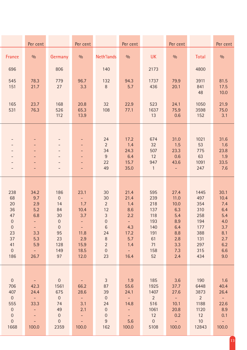|                                                                                                                      | Per cent                                                                                               |                                                                                                               | Per cent                                                                                                    |                                                                                                                                           | Per cent                                                                                      |                                                                                   | Per cent                                                                                             |                                                                                   | Per cent                                                                           |
|----------------------------------------------------------------------------------------------------------------------|--------------------------------------------------------------------------------------------------------|---------------------------------------------------------------------------------------------------------------|-------------------------------------------------------------------------------------------------------------|-------------------------------------------------------------------------------------------------------------------------------------------|-----------------------------------------------------------------------------------------------|-----------------------------------------------------------------------------------|------------------------------------------------------------------------------------------------------|-----------------------------------------------------------------------------------|------------------------------------------------------------------------------------|
| <b>France</b>                                                                                                        | 0/0                                                                                                    | Germany                                                                                                       | 0/0                                                                                                         | <b>Neth'lands</b>                                                                                                                         | 0/0                                                                                           | <b>UK</b>                                                                         | 0/0                                                                                                  | Total                                                                             | 0/0                                                                                |
| 696                                                                                                                  |                                                                                                        | 806                                                                                                           |                                                                                                             | 140                                                                                                                                       |                                                                                               | 2173                                                                              |                                                                                                      | 4800                                                                              |                                                                                    |
| 545<br>151                                                                                                           | 78.3<br>21.7                                                                                           | 779<br>27                                                                                                     | 96.7<br>3.3                                                                                                 | 132<br>8                                                                                                                                  | 94.3<br>5.7                                                                                   | 1737<br>436                                                                       | 79.9<br>20.1                                                                                         | 3911<br>841<br>48                                                                 | 81.5<br>17.5<br>10.0                                                               |
| 165<br>531                                                                                                           | 23.7<br>76.3                                                                                           | 168<br>526<br>112                                                                                             | 20.8<br>65.3<br>13.9                                                                                        | 32<br>108                                                                                                                                 | 22.9<br>77.1                                                                                  | 523<br>1637<br>13                                                                 | 24.1<br>75.9<br>0.6                                                                                  | 1050<br>3598<br>152                                                               | 21.9<br>75.0<br>3.1                                                                |
|                                                                                                                      |                                                                                                        |                                                                                                               |                                                                                                             | 24<br>$\overline{2}$<br>34<br>$\boldsymbol{9}$<br>22<br>49                                                                                | 17.2<br>1.4<br>24.3<br>6.4<br>15.7<br>35.0                                                    | 674<br>32<br>507<br>12<br>947<br>$\mathbf{1}$                                     | 31.0<br>1.5<br>23.3<br>0.6<br>43.6                                                                   | 1021<br>53<br>775<br>63<br>1091<br>247                                            | 31.6<br>1.6<br>23.8<br>1.9<br>33.5<br>7.6                                          |
| 238<br>68<br>20<br>36<br>47<br>$\overline{0}$<br>$\boldsymbol{0}$<br>23<br>37<br>41<br>$\overline{0}$<br>186         | 34.2<br>9.7<br>2.9<br>5.2<br>6.8<br>$\sim$ $-$<br>3.3<br>5.3<br>5.9<br>$\omega_{\rm{eff}}$<br>26.7     | 186<br>$\boldsymbol{0}$<br>14<br>84<br>30<br>$\overline{0}$<br>$\overline{0}$<br>95<br>23<br>128<br>149<br>97 | 23.1<br>$\equiv$ .<br>1.7<br>10.4<br>3.7<br>$\overline{\phantom{m}}$<br>11.8<br>2.9<br>15.9<br>18.5<br>12.0 | 30<br>30<br>$\overline{2}$<br>12<br>$\mathfrak{Z}$<br>$\overline{0}$<br>$\,6\,$<br>24<br>$\, 8$<br>$\overline{2}$<br>$\overline{0}$<br>23 | 21.4<br>21.4<br>1.4<br>8.6<br>2.2<br>4.3<br>17.2<br>5.7<br>1.4<br>$\sim$ $^{-1}$<br>16.4      | 595<br>239<br>218<br>137<br>118<br>193<br>140<br>191<br>61<br>71<br>158<br>52     | 27.4<br>11.0<br>10.0<br>6.3<br>5.4<br>8.9<br>6.4<br>8.8<br>2.8<br>3.3<br>7.3<br>2.4                  | 1445<br>497<br>354<br>310<br>258<br>194<br>177<br>388<br>131<br>297<br>315<br>434 | 30.1<br>10.4<br>7.4<br>6.4<br>5.4<br>4.0<br>3.7<br>8.1<br>2.7<br>6.2<br>6.6<br>9.0 |
| $\overline{0}$<br>706<br>407<br>$\overline{0}$<br>555<br>$\mathbf 0$<br>$\boldsymbol{0}$<br>$\boldsymbol{0}$<br>1668 | $\sim$ $-$<br>42.3<br>24.4<br>$\sim$ $ \sim$<br>33.3<br>$\omega_{\rm c}$<br>$\pm$<br>$\equiv$<br>100.0 | $\overline{0}$<br>1561<br>675<br>$\overline{0}$<br>74<br>49<br>$\overline{0}$<br>$\overline{0}$<br>2359       | $\equiv$ .<br>66.2<br>28.6<br>$\pm$ .<br>3.1<br>2.1<br>$\omega_{\rm c}$<br>$\omega_{\rm c}$<br>100.0        | 3 <sup>1</sup><br>87<br>39<br>$\overline{0}$<br>24<br>$\boldsymbol{0}$<br>$\overline{0}$<br>$\overline{9}$<br>162                         | 1.9<br>55.6<br>24.1<br>$\sim$ $^{-1}$<br>14.8<br>$\omega_{\rm c}$<br>$\sim$ .<br>5.6<br>100.0 | 185<br>1925<br>1407<br>$2^{\circ}$<br>516<br>1061<br>12<br>$\overline{0}$<br>5108 | 3.6<br>37.7<br>27.6<br>$\sim 10^{-1}$<br>10.1<br>20.8<br>0.2<br>$\alpha \rightarrow \alpha$<br>100.0 | 190<br>6448<br>3873<br>$\overline{2}$<br>1188<br>1120<br>12<br>10<br>12843        | 1.6<br>40.4<br>26.4<br>$\sim$<br>22.6<br>8.9<br>0.1<br>$\sim$ $ \sim$<br>100.0     |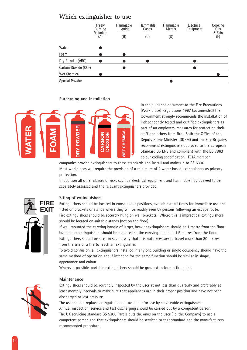#### **Which extinguisher to use**

|                                   | Freely<br>Burning<br><b>Materials</b> | <b>Flammable</b><br>Liquids | Flammable<br>Gases | Flammable<br><b>Metals</b> | Electrical<br>Equipment | Cooking<br>Oils<br>& Fats |
|-----------------------------------|---------------------------------------|-----------------------------|--------------------|----------------------------|-------------------------|---------------------------|
|                                   | (A)                                   | (B)                         | (C)                | (D)                        |                         | (F)                       |
| Water                             |                                       |                             |                    |                            |                         |                           |
| Foam                              |                                       |                             |                    |                            |                         |                           |
| Dry Powder (ABC)                  |                                       |                             |                    |                            |                         |                           |
| Carbon Dioxide (CO <sub>2</sub> ) |                                       |                             |                    |                            |                         |                           |
| Wet Chemical                      |                                       |                             |                    |                            |                         |                           |
| <b>Special Powder</b>             |                                       |                             |                    |                            |                         |                           |

#### **Purchasing and Installation**



In the guidance document to the Fire Precautions (Work place) Regulations 1997 (as amended) the Government strongly recommends the installation of independently tested and certified extinguishers as part of an employers' measures for protecting their staff and others from fire. Both the Office of the Deputy Prime Minister (ODPM) and the Fire Brigades recommend extinguishers approved to the European Standard BS EN3 and compliant with the BS 7863 colour coding specification. FETA member

companies provide extinguishers to these standards and install and maintain to BS 5306. Most workplaces will require the provision of a minimum of 2 water based extinguishers as primary protection.

In addition all other classes of risks such as electrical equipment and flammable liquids need to be separately assessed and the relevant extinguishers provided.



#### **Siting of extinguishers**

Extinguishers should be located in conspicuous positions, available at all times for immediate use and fitted on brackets or stands where they will be readily seen by persons following an escape route. Fire extinguishers should be securely hung on wall brackets. Where this is impractical extinguishers should be located on suitable stands (not on the floor).

If wall mounted the carrying handle of larger, heavier extinguishers should be 1 metre from the floor but smaller extinguishers should be mounted so the carrying handle is 1.5 metres from the floor. Extinguishers should be sited in such a way that it is not necessary to travel more than 30 metres from the site of a fire to reach an extinguisher.

To avoid confusion, all extinguishers installed in any one building or single occupancy should have the same method of operation and if intended for the same function should be similar in shape, appearance and colour.

Wherever possible, portable extinguishers should be grouped to form a fire point.



#### **Maintenance**

Extinguishers should be routinely inspected by the user at not less than quarterly and preferably at least monthly intervals to make sure that appliances are in their proper position and have not been discharged or lost pressure.

The user should replace extinguishers not available for use by serviceable extinguishers. Annual inspection, service and test discharging should be carried out by a competent person. The UK servicing standard BS 5306 Part 3 puts the onus on the user (i.e. the Company) to use a competent person and that extinguishers should be serviced to that standard and the manufacturers recommended procedure.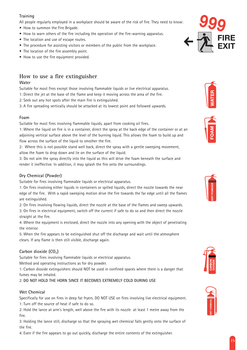#### **Training**

All people regularly employed in a workplace should be aware of the risk of fire. They need to know:

- How to summon the Fire Brigade.
- How to warn others of the fire including the operation of the fire-warning apparatus.
- The location and use of escape routes.
- The procedure for assisting visitors or members of the public from the workplace.
- The location of the fire assembly point.
- How to use the fire equipment provided.

#### **How to use a fire extinguisher**

#### **Water**

Suitable for most fires except those involving flammable liquids or live electrical apparatus. 1: Direct the jet at the base of the flame and keep it moving across the area of the fire.

2: Seek out any hot spots after the main fire is extinguished.

3: A fire spreading vertically should be attacked at its lowest point and followed upwards.

#### **Foam**

Suitable for most fires involving flammable liquids, apart from cooking oil fires.

1: Where the liquid on fire is in a container, direct the spray at the back edge of the container or at an adjoining vertical surface above the level of the burning liquid. This allows the foam to build up and flow across the surface of the liquid to smother the fire.

2: Where this is not possible stand well back, direct the spray with a gentle sweeping movement, allow the foam to drop down and lie on the surface of the liquid.

3: Do not aim the spray directly into the liquid as this will drive the foam beneath the surface and render it ineffective. In addition, it may splash the fire onto the surroundings.

#### **Dry Chemical (Powder)**

Suitable for fires involving flammable liquids or electrical apparatus.

1: On fires involving either liquids in containers or spilled liquids, direct the nozzle towards the near edge of the fire. With a rapid sweeping motion drive the fire towards the far edge until all the flames are extinguished.

2: On fires involving flowing liquids, direct the nozzle at the base of the flames and sweep upwards. 3: On fires in electrical equipment, switch off the current if safe to do so and then direct the nozzle straight at the fire.

4: Where the equipment is enclosed, direct the nozzle into any opening with the object of penetrating the interior.

5: When the fire appears to be extinguished shut off the discharge and wait until the atmosphere clears. If any flame is then still visible, discharge again.

#### Carbon dioxide (CO<sub>2</sub>)

Suitable for fires involving flammable liquids or electrical apparatus.

Method and operating instructions as for dry powder.

1: Carbon dioxide extinguishers should NOT be used in confined spaces where there is a danger that fumes may be inhaled.

#### 2: **DO NOT HOLD THE HORN SINCE IT BECOMES EXTREMELY COLD DURING USE**

#### **Wet Chemical**

Specifically for use on fires in deep fat fryers. DO NOT USE on fires involving live electrical equipment. 1: Turn off the source of heat if safe to do so.

2: Hold the lance at arm's length, well above the fire with its nozzle at least 1 metre away from the fire.

3: Holding the lance still, discharge so that the spraying wet chemical falls gently onto the surface of the fire.

4: Even if the fire appears to go out quickly, discharge the entire contents of the extinguisher.











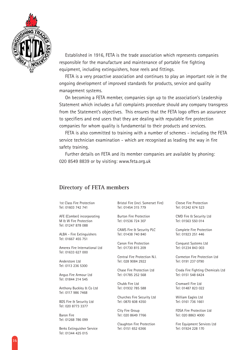

Established in 1916, FETA is the trade association which represents companies responsible for the manufacture and maintenance of portable fire fighting equipment, including extinguishers, hose reels and fittings.

FETA is a very proactive association and continues to play an important role in the ongoing development of improved standards for products, service and quality management systems.

On becoming a FETA member, companies sign up to the association's Leadership Statement which includes a full complaints procedure should any company transgress from the Statement's objectives. This ensures that the FETA logo offers an assurance to specifiers and end users that they are dealing with reputable fire protection companies for whom quality is fundamental to their products and services.

FETA is also committed to training with a number of schemes - including the FETA service technician examination - which are recognised as leading the way in fire safety training.

Further details on FETA and its member companies are available by phoning: 020 8549 8839 or by visiting: www.feta.org.uk

#### **Directory of FETA members**

1st Class Fire Protection Tel: 01603 742 741

AFE (Comber) incorporating M & W Fire Protection Tel: 01247 878 088

ALBA - Fire Extinguishers Tel: 01667 455 751

Amerex Fire International Ltd Tel: 01633 627 000

Anderstore Ltd Tel: 0113 236 5300

Angus Fire Armour Ltd Tel: 01844 214 545

Anthony Buckley & Co Ltd Tel: 0117 986 7468

BDS Fire & Security Ltd Tel: 020 8773 3377

Baron Fire Tel: 01268 786 099

Berks Extinguisher Service Tel: 01344 425 015

Bristol Fire (incl. Somerset Fire) Tel: 01454 315 779

Burton Fire Protection Tel: 01536 724 307

CAMS Fire & Security PLC Tel: 01438 740 840

Canon Fire Protection Tel: 01730 815 209

Central Fire Protection N.I. Tel: 028 9084 2922

Chase Fire Protection Ltd Tel: 01785 252 568

Chubb Fire Ltd Tel: 01932 785 588

Churches Fire Security Ltd Tel: 0870 608 4350

City Fire Group Tel: 020 8649 7766

Claughton Fire Protection Tel: 0151 652 6366

Cleeve Fire Protection Tel: 01242 674 523

CMD Fire & Security Ltd Tel: 01563 550 014

Complete Fire Protection Tel: 01923 251 446

Conquest Systems Ltd Tel: 01234 843 003

Cormeton Fire Protection Ltd Tel: 0191 237 0790

Croda Fire Fighting Chemicals Ltd Tel: 0151 548 6424

Cromwell Fire Ltd Tel: 01487 823 022

William Eagles Ltd Tel: 0161 736 1661

FDSA Fire Protection Ltd Tel: 020 8863 4000

Fire Equipment Services Ltd Tel: 01924 228 170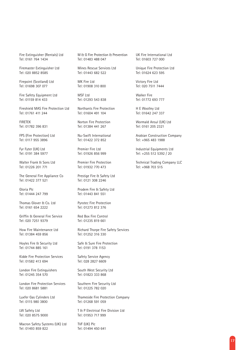Fire Extinguisher (Rentals) Ltd Tel: 0161 764 1434

Firemaster Extinguisher Ltd Tel: 020 8852 8585

Firepoint (Scotland) Ltd Tel: 01698 307 077

Fire Safety Equipment Ltd Tel: 01159 814 433

Fireshield MAS Fire Protection Ltd Tel: 01761 411 244

FIRETEK Tel: 01782 396 831

FPS (Fire Protection) Ltd Tel: 0117 955 3896

Fyr Fyter (UK) Ltd Tel: 0191 384 5977

Walter Frank & Sons Ltd Tel: 01226 201 771

The General Fire Appliance Co Tel: 01422 377 521

Gloria Plc Tel: 01444 247 799

Thomas Glover & Co. Ltd Tel: 0161 654 2222

Griffin & General Fire Service Tel: 020 7251 9379

How Fire Maintenance Ltd Tel: 01384 459 856

Hoyles Fire & Security Ltd Tel: 01744 885 161

Kidde Fire Protection Services Tel: 01582 413 694

London Fire Extinguishers Tel: 01245 354 570

London Fire Protection Services Tel: 020 8681 5881

Luxfer Gas Cylinders Ltd Tel: 0115 980 3800

LW Safety Ltd Tel: 020 8575 9000

Macron Safety Systems (UK) Ltd Tel: 01493 859 822

M & G Fire Protection & Prevention Tel: 01483 488 047

Mines Rescue Services Ltd Tel: 01443 682 522

MK Fire Ltd Tel: 01908 310 800

MSF Ltd Tel: 01293 543 838

Northants Fire Protection Tel: 01604 491 104

Norton Fire Protection Tel: 01384 441 267

Nu-Swift International Tel: 01422 372 852

Premier Fire Ltd Tel: 01926 856 999

Premier Fire Protection Tel: 01932 770 473

Prestige Fire & Safety Ltd Tel: 0121 308 2246

Prodem Fire & Safety Ltd Tel: 01443 841 551

Pyrotec Fire Protection Tel: 01273 812 376

Red Box Fire Control Tel: 01235 819 661

Richard Thorpe Fire Safety Services Tel: 01252 316 330

Safe & Sure Fire Protection Tel: 0191 378 1153

Safety Service Agency Tel: 028 2827 6609

South West Security Ltd Tel: 01823 333 868

Southern Fire Security Ltd Tel: 01225 782 020

Thameside Fire Protection Company Tel: 01268 591 059

T & P Electrical Fire Division Ltd Tel: 01953 717 999

TVF (UK) Plc Tel: 01494 450 641 UK Fire International Ltd Tel: 01603 727 000

Unique Fire Protection Ltd Tel: 01624 623 595

Victory Fire Ltd Tel: 020 7511 7444

Walker Fire Tel: 01772 693 777

H E Woolley Ltd Tel: 01642 247 337

Wormald Ansul (UK) Ltd Tel: 0161 205 2321

Arabian Construction Company Tel: +965 483 1988

Industrial Equipments Ltd Tel: +255 512 5392 / 20

Technical Trading Company LLC Tel: +968 703 515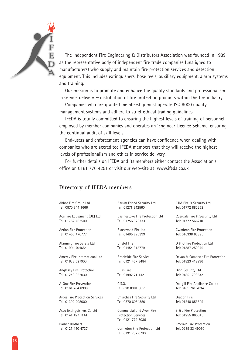

The Independent Fire Engineering & Distributors Association was founded in 1989 as the representative body of independent fire trade companies (unaligned to manufacturers) who supply and maintain fire protection services and detection equipment. This includes extinguishers, hose reels, auxiliary equipment, alarm systems and training.

Our mission is to promote and enhance the quality standards and professionalism in service delivery & distribution of fire protection products within the fire industry.

Companies who are granted membership must operate ISO 9000 quality management systems and adhere to strict ethical trading guidelines.

IFEDA is totally committed to ensuring the highest levels of training of personnel employed by member companies and operates an 'Engineer Licence Scheme' ensuring the continual audit of skill levels.

End-users and enforcement agencies can have confidence when dealing with companies who are accredited IFEDA members that they will receive the highest levels of professionalism and ethics in service delivery.

For further details on IFEDA and its members either contact the Association's office on 0161 776 4251 or visit our web-site at: www.ifeda.co.uk

#### **Directory of IFEDA members**

Abbot Fire Group Ltd Tel: 0870 844 1666

Ace Fire Equipment (UK) Ltd Tel: 01752 482500

Action Fire Protection Tel: 01456 476777

Alarming Fire Safety Ltd Tel: 01904 704654

Amerex Fire International Ltd Tel: 01633 627000

Anglesey Fire Protection Tel: 01248 852030

A-One Fire Prevention Tel: 0161 764 8999

Argos Fire Protection Services Tel: 01392 205000

Asco Extinguishers Co Ltd Tel: 0141 427 1144

Barber Brothers Tel: 0121 440 4737

Barum Friend Security Ltd Tel: 01271 342560

Basingstoke Fire Protection Ltd Tel: 01256 323733

Blackwood Fire Ltd Tel: 01495 220399

Bristol Fire Tel: 01454 315779

Brookside Fire Service Tel: 0121 457 8484

Bush Fire Tel: 01992 711142

C.S.Q. Tel: 020 8381 5051

Churches Fire Security Ltd Tel: 0870 6084350

Commercial and Avon Fire Protection Services Tel: 0121 779 5036

Cormeton Fire Protection Ltd Tel: 0191 237 0790

CTM Fire & Security Ltd Tel: 01772 882252

Cuerdale Fire & Security Ltd Tel: 01772 566210

Cwmbran Fire Protection Tel: 016338 63895

D & G Fire Protection Ltd Tel: 01387 259979

Devon & Somerset Fire Protection Tel: 01823 412996

Dion Security Ltd Tel: 01851 706532

Dougill Fire Appliance Co Ltd Tel: 0161 761 7034

Dragon Fire Tel: 01248 853399

E & J Fire Protection Tel: 01255 860645

Emerald Fire Protection Tel: 0289 33 49060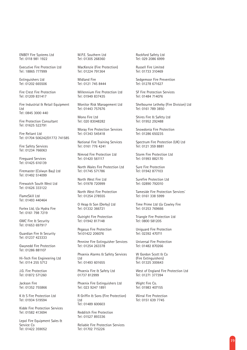ENBEY Fire Systems Ltd Tel: 0118 981 1922

Executive Fire Protection Ltd Tel: 18865 777999

Extinguishers Ltd Tel: 01202 665506

Fire Crest Fire Protection Tel: 01209 831417

Fire Industrial & Retail Equipment Ltd Tel: 0845 3000 440

Fire Protection Consultant Tel: 01625 522791

Fire Reliant Ltd Tel: 01704 506242/01772 741585

Fire Safety Services Tel: 01234 766063

Fireguard Services Tel: 01425 616139

Firemaster (Colwyn Bay) Ltd Tel: 01492 514099

Firewatch South West Ltd Tel: 01626 333122

FlameSkill Ltd Tel: 01493 440464

Forlex Ltd, t/a Hydra Fire Tel: 0161 798 7219

GMC Fire & Security Tel: 01653 697917

Guardian Fire & Security Tel: 01237 423333

Gwynedd Fire Protection Tel: 01286 881107

Hi-Tech Fire Engineering Ltd Tel: 0114 255 5712

J.G. Fire Protection Tel: 01872 571260

Jackson Fire Tel: 01352 755866

K & S Fire Protection Ltd Tel: 01934 519594

Kidde Fire Protection Services Tel: 01582 413694

Lepol Fire Equipment Sales & Service Co Tel: 01422 359052

M.P.E. Southern Ltd Tel: 01305 268360

MacKenzie (Fire Protection) Tel: 01224 791364

Midland Fire Tel: 0121 745 8444

Millennium Fire Protection Ltd Tel: 01949 837435

Monitor Risk Management Ltd Tel: 01443 757676

Mono Fire Ltd Tel: 020 83048282

Moray Fire Protection Services Tel: 01343 545418

National Fire Training Services Tel: 0161 776 4241

Nimrod Fire Protection Ltd Tel: 01420 561117

North Wales Fire Protection Ltd Tel: 01745 571786

North West Fire Ltd Tel: 01978 720999

North West Fire Protection Tel: 01254 278555

O Heap & Son (Derby) Ltd Tel: 01332 366721

Outright Fire Protection Tel: 01942 817148

Pegasus Fire Protection Tel:01422 206076

Pennine Fire Extinguisher Services Tel: 01254 263378

Phoenix Alarms & Safety Services Ltd

Tel: 01493 601655

Phoenix Fire & Safety Ltd 01737 812999

Phoenix Fire Extinguishers Ltd Tel: 023 9247 1891

R Griffin & Sons (Fire Protection) Ltd

Tel: 01489 600603

Redditch Fire Protection Tel: 01527 893336

Reliable Fire Protection Services Tel: 01702 715226

Rockford Safety Ltd Tel: 029 2086 6999

Russell Fire Limited Tel: 01733 310469

Sedgemoor Fire Prevention Tel: 01278 671627

SF Fire Protection Services Tel: 01484 714076

Shelbourne Letheby (Fire Division) Ltd Tel: 0161 789 3850

Shires Fire & Safety Ltd Tel: 01952 292488

Snowdonia Fire Protection Tel: 01286 650235

Spectrum Fire Protection (UK) Ltd Tel: 0121 359 8881

Storm Fire Protection Ltd Tel: 01993 882170

Sure Fire Protection Tel: 01942 877103

Surefire Protection Ltd Tel: 02890 792010

Tameside Fire Protection Services` Tel: 0161 338 5999

Time Prime Ltd t/a Cowley Fire Tel: 01253 769666

Triangle Fire Protection Ltd Tel: 0800 581205

Uniguard Fire Protection Tel: 02392 470711

Universal Fire Protection Tel: 01482 870266

W Gordon Scott & Co (Fire Extinguishers) Tel: 01325 300643

West of England Fire Protection Ltd Tel: 01271 377394

Wight Fire Co. Tel: 01983 407155

Wirral Fire Protection Tel: 0151 639 7745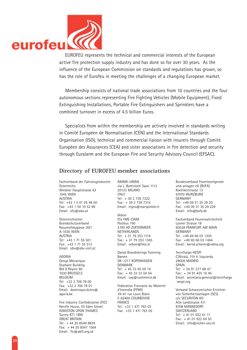

active fire protection supply industry and has done so for over 30 years. As the influence of the European Commission on standards and regulations has grown, so has the role of Eurofeu in meeting the challenges of a changing European market.

Membership consists of national trade associations from 10 countries and the four autonomous sections representing Fire Fighting Vehicles (Mobile Equipment), Fixed Extinguishing Installations, Portable Fire Extinguishers and Sprinklers have a combined turnover in excess of 4.5 billion Euros.

Specialists from within the membership are actively involved in standards writing in Comité Européen de Normalisation (CEN) and the International Standards Organisation (ISO), technical and commercial liaison with insurers through Comité Européen des Assurances (CEA) and sister associations in fire detection and security through Euralarm and the European Fire and Security Advisory Council (EFSAC).

#### **Directory of EUROFEU member associations**

Fachverband der Fahrzeugindustrie **Osterreichs** Wiedner Hauptstrasse 63 1045 WIEN AUSTRIA Tel: +43 1 5 01 05 48 00 Fax: +43 1 50 10 52 89 Email: kfz@wko.at

Osterreichischer Brandschutzverband Rasumofskygasse 30/1 A-1030 WIEN AUSTRIA Tel: +43 1 71 55 501 Fax: +43 1 71 55 513 Email: obv@obv-cert.at

AGORIA Group Mécanique Diamant Building Bld A Reyers 80 1030 BRUSSELS BELGIUM Tel: +32 2 706 78 00 Fax: +32 2 706 78 01 Email: dominique.dutre@ agoria.be

Fire Industry Confederation (FIC) Neville House, 55 Eden Street KINGSTON UPON THAMES Surrey KT1 1BW GREAT BRITAIN Tel: + 44 20 8549 8839 Fax: + 44 20 8547 1564 Email: fic@abft.org.uk

ANIMA-UMAN via L. Battistotti Sassi 1113 20133 MILANO **ITALY** Tel: + 39 2 739 7322 Fax: + 39 2 739 7316 Email: nigro@starspinkler.it

Vebon

P/a FME-CWM Postbus 190 2700 AD ZOETERMEER NETHERLANDS Tel: + 31 79 353 1116 Fax: + 31 79 353 1365 Email: vebon@fme.nl

Dansk Brandsikrings Forening Børsen DK-1217 KOPENHAGEN DENMARK Tel: + 45 33 95 05 19 Fax: + 45 33 33 04 64 Email: svp@commerce.dk

Federation Francaise du Materiel d'Incendie (FFMI) 39-41 rue Louis Blanc F-92400 COURBEVOIE FRANCE Tel: +33 1 471 763 03 Fax: +33 1 471 763 05

Bundesverband Feuerloschgerate und-anlagen eV (BVFA) Koellikerstrasse 13 97070 WURZBURG GERMANY Tel: +49 09 31 35 29 20 Fax: +49 09 31 35 29 229 Email: info@bvfa.de

Fachverband Feurerwehrtechnik Lyoner Strasse 18 60528 FRANFURT AM MAIN GERMANY Tel: +49 69 66 03 1305 Fax: +49 69 66 03 1464 Email: bernd.scherer@vdma.org

Tecnifuego-AESPI C/Alcalá, 119 4. Izquierda 28009 MADRID SPAIN Tel: + 34 91 577 68 47 Fax: + 34 91 435 16 40 Email: secretaria.general@tecnifuego -aespi.org

Verband Schweizerischer Errichter von Sicherheitsanlagen (SES) c/o SECURITON AG Alte Landstrasse 411 8708 MANNEDORF SWITZERLAND Tel: + 41 01 922 61 11 Fax: + 41 01 922 64 50 Email: info@sicher-ses.ch